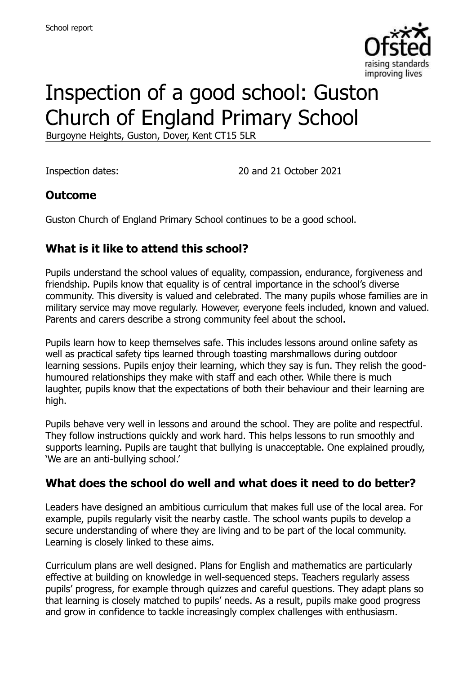

# Inspection of a good school: Guston Church of England Primary School

Burgoyne Heights, Guston, Dover, Kent CT15 5LR

Inspection dates: 20 and 21 October 2021

### **Outcome**

Guston Church of England Primary School continues to be a good school.

# **What is it like to attend this school?**

Pupils understand the school values of equality, compassion, endurance, forgiveness and friendship. Pupils know that equality is of central importance in the school's diverse community. This diversity is valued and celebrated. The many pupils whose families are in military service may move regularly. However, everyone feels included, known and valued. Parents and carers describe a strong community feel about the school.

Pupils learn how to keep themselves safe. This includes lessons around online safety as well as practical safety tips learned through toasting marshmallows during outdoor learning sessions. Pupils enjoy their learning, which they say is fun. They relish the goodhumoured relationships they make with staff and each other. While there is much laughter, pupils know that the expectations of both their behaviour and their learning are high.

Pupils behave very well in lessons and around the school. They are polite and respectful. They follow instructions quickly and work hard. This helps lessons to run smoothly and supports learning. Pupils are taught that bullying is unacceptable. One explained proudly, 'We are an anti-bullying school.'

### **What does the school do well and what does it need to do better?**

Leaders have designed an ambitious curriculum that makes full use of the local area. For example, pupils regularly visit the nearby castle. The school wants pupils to develop a secure understanding of where they are living and to be part of the local community. Learning is closely linked to these aims.

Curriculum plans are well designed. Plans for English and mathematics are particularly effective at building on knowledge in well-sequenced steps. Teachers regularly assess pupils' progress, for example through quizzes and careful questions. They adapt plans so that learning is closely matched to pupils' needs. As a result, pupils make good progress and grow in confidence to tackle increasingly complex challenges with enthusiasm.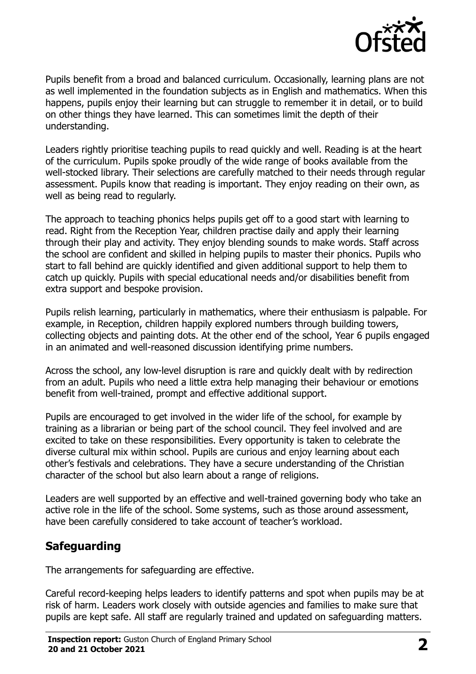

Pupils benefit from a broad and balanced curriculum. Occasionally, learning plans are not as well implemented in the foundation subjects as in English and mathematics. When this happens, pupils enjoy their learning but can struggle to remember it in detail, or to build on other things they have learned. This can sometimes limit the depth of their understanding.

Leaders rightly prioritise teaching pupils to read quickly and well. Reading is at the heart of the curriculum. Pupils spoke proudly of the wide range of books available from the well-stocked library. Their selections are carefully matched to their needs through regular assessment. Pupils know that reading is important. They enjoy reading on their own, as well as being read to regularly.

The approach to teaching phonics helps pupils get off to a good start with learning to read. Right from the Reception Year, children practise daily and apply their learning through their play and activity. They enjoy blending sounds to make words. Staff across the school are confident and skilled in helping pupils to master their phonics. Pupils who start to fall behind are quickly identified and given additional support to help them to catch up quickly. Pupils with special educational needs and/or disabilities benefit from extra support and bespoke provision.

Pupils relish learning, particularly in mathematics, where their enthusiasm is palpable. For example, in Reception, children happily explored numbers through building towers, collecting objects and painting dots. At the other end of the school, Year 6 pupils engaged in an animated and well-reasoned discussion identifying prime numbers.

Across the school, any low-level disruption is rare and quickly dealt with by redirection from an adult. Pupils who need a little extra help managing their behaviour or emotions benefit from well-trained, prompt and effective additional support.

Pupils are encouraged to get involved in the wider life of the school, for example by training as a librarian or being part of the school council. They feel involved and are excited to take on these responsibilities. Every opportunity is taken to celebrate the diverse cultural mix within school. Pupils are curious and enjoy learning about each other's festivals and celebrations. They have a secure understanding of the Christian character of the school but also learn about a range of religions.

Leaders are well supported by an effective and well-trained governing body who take an active role in the life of the school. Some systems, such as those around assessment, have been carefully considered to take account of teacher's workload.

# **Safeguarding**

The arrangements for safeguarding are effective.

Careful record-keeping helps leaders to identify patterns and spot when pupils may be at risk of harm. Leaders work closely with outside agencies and families to make sure that pupils are kept safe. All staff are regularly trained and updated on safeguarding matters.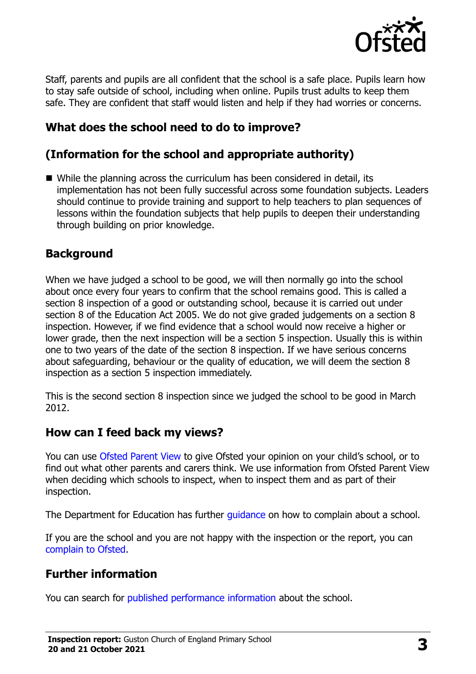

Staff, parents and pupils are all confident that the school is a safe place. Pupils learn how to stay safe outside of school, including when online. Pupils trust adults to keep them safe. They are confident that staff would listen and help if they had worries or concerns.

# **What does the school need to do to improve?**

# **(Information for the school and appropriate authority)**

 While the planning across the curriculum has been considered in detail, its implementation has not been fully successful across some foundation subjects. Leaders should continue to provide training and support to help teachers to plan sequences of lessons within the foundation subjects that help pupils to deepen their understanding through building on prior knowledge.

### **Background**

When we have judged a school to be good, we will then normally go into the school about once every four years to confirm that the school remains good. This is called a section 8 inspection of a good or outstanding school, because it is carried out under section 8 of the Education Act 2005. We do not give graded judgements on a section 8 inspection. However, if we find evidence that a school would now receive a higher or lower grade, then the next inspection will be a section 5 inspection. Usually this is within one to two years of the date of the section 8 inspection. If we have serious concerns about safeguarding, behaviour or the quality of education, we will deem the section 8 inspection as a section 5 inspection immediately.

This is the second section 8 inspection since we judged the school to be good in March 2012.

#### **How can I feed back my views?**

You can use [Ofsted Parent View](https://parentview.ofsted.gov.uk/) to give Ofsted your opinion on your child's school, or to find out what other parents and carers think. We use information from Ofsted Parent View when deciding which schools to inspect, when to inspect them and as part of their inspection.

The Department for Education has further quidance on how to complain about a school.

If you are the school and you are not happy with the inspection or the report, you can [complain to Ofsted.](https://www.gov.uk/complain-ofsted-report)

### **Further information**

You can search for [published performance information](http://www.compare-school-performance.service.gov.uk/) about the school.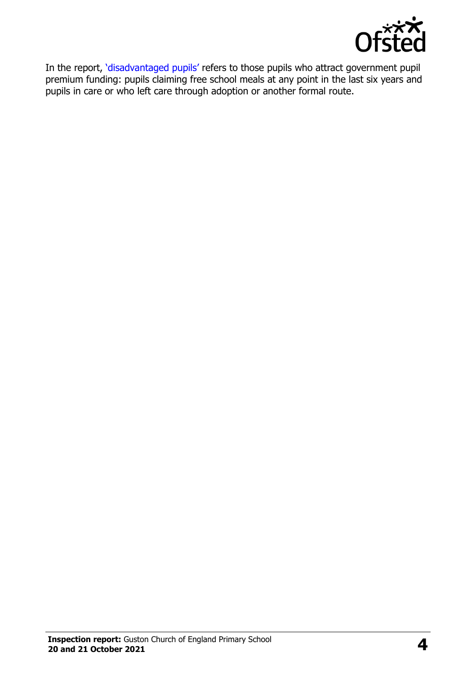

In the report, '[disadvantaged pupils](http://www.gov.uk/guidance/pupil-premium-information-for-schools-and-alternative-provision-settings)' refers to those pupils who attract government pupil premium funding: pupils claiming free school meals at any point in the last six years and pupils in care or who left care through adoption or another formal route.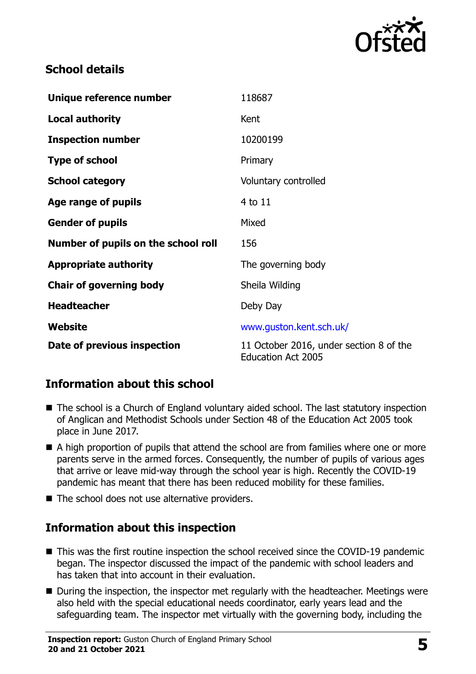

# **School details**

| Unique reference number             | 118687                                                               |
|-------------------------------------|----------------------------------------------------------------------|
| <b>Local authority</b>              | Kent                                                                 |
| <b>Inspection number</b>            | 10200199                                                             |
| <b>Type of school</b>               | Primary                                                              |
| <b>School category</b>              | Voluntary controlled                                                 |
| Age range of pupils                 | 4 to 11                                                              |
| <b>Gender of pupils</b>             | Mixed                                                                |
| Number of pupils on the school roll | 156                                                                  |
| <b>Appropriate authority</b>        | The governing body                                                   |
| <b>Chair of governing body</b>      | Sheila Wilding                                                       |
| <b>Headteacher</b>                  | Deby Day                                                             |
| Website                             | www.guston.kent.sch.uk/                                              |
| Date of previous inspection         | 11 October 2016, under section 8 of the<br><b>Education Act 2005</b> |

# **Information about this school**

- The school is a Church of England voluntary aided school. The last statutory inspection of Anglican and Methodist Schools under Section 48 of the Education Act 2005 took place in June 2017.
- A high proportion of pupils that attend the school are from families where one or more parents serve in the armed forces. Consequently, the number of pupils of various ages that arrive or leave mid-way through the school year is high. Recently the COVID-19 pandemic has meant that there has been reduced mobility for these families.
- $\blacksquare$  The school does not use alternative providers.

# **Information about this inspection**

- This was the first routine inspection the school received since the COVID-19 pandemic began. The inspector discussed the impact of the pandemic with school leaders and has taken that into account in their evaluation.
- During the inspection, the inspector met regularly with the headteacher. Meetings were also held with the special educational needs coordinator, early years lead and the safeguarding team. The inspector met virtually with the governing body, including the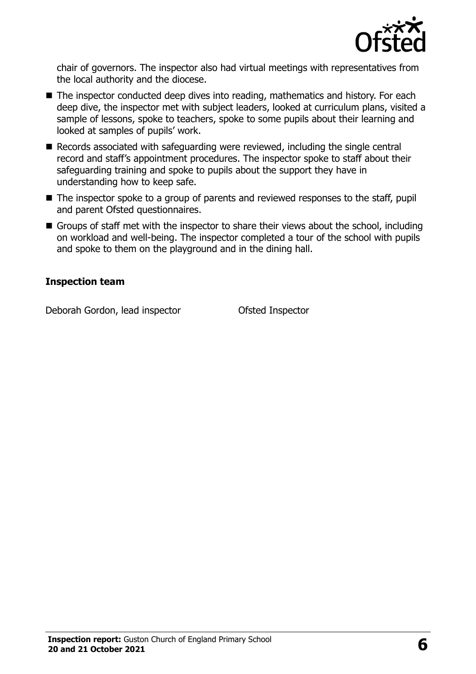

chair of governors. The inspector also had virtual meetings with representatives from the local authority and the diocese.

- The inspector conducted deep dives into reading, mathematics and history. For each deep dive, the inspector met with subject leaders, looked at curriculum plans, visited a sample of lessons, spoke to teachers, spoke to some pupils about their learning and looked at samples of pupils' work.
- Records associated with safeguarding were reviewed, including the single central record and staff's appointment procedures. The inspector spoke to staff about their safeguarding training and spoke to pupils about the support they have in understanding how to keep safe.
- The inspector spoke to a group of parents and reviewed responses to the staff, pupil and parent Ofsted questionnaires.
- Groups of staff met with the inspector to share their views about the school, including on workload and well-being. The inspector completed a tour of the school with pupils and spoke to them on the playground and in the dining hall.

#### **Inspection team**

Deborah Gordon, lead inspector Ofsted Inspector